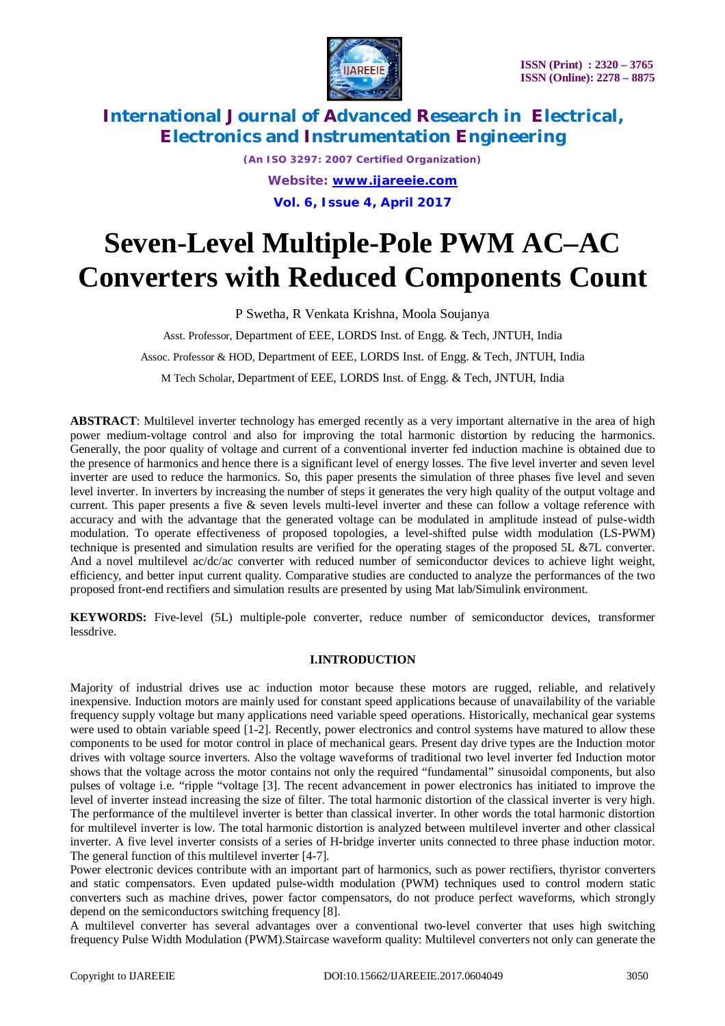

*(An ISO 3297: 2007 Certified Organization) Website: [www.ijareeie.com](http://www.ijareeie.com)* **Vol. 6, Issue 4, April 2017**

# **Seven-Level Multiple-Pole PWM AC–AC Converters with Reduced Components Count**

P Swetha, R Venkata Krishna, Moola Soujanya

Asst. Professor, Department of EEE, LORDS Inst. of Engg. & Tech, JNTUH, India

Assoc. Professor & HOD, Department of EEE, LORDS Inst. of Engg. & Tech, JNTUH, India

M Tech Scholar, Department of EEE, LORDS Inst. of Engg. & Tech, JNTUH, India

**ABSTRACT**: Multilevel inverter technology has emerged recently as a very important alternative in the area of high power medium-voltage control and also for improving the total harmonic distortion by reducing the harmonics. Generally, the poor quality of voltage and current of a conventional inverter fed induction machine is obtained due to the presence of harmonics and hence there is a significant level of energy losses. The five level inverter and seven level inverter are used to reduce the harmonics. So, this paper presents the simulation of three phases five level and seven level inverter. In inverters by increasing the number of steps it generates the very high quality of the output voltage and current. This paper presents a five & seven levels multi-level inverter and these can follow a voltage reference with accuracy and with the advantage that the generated voltage can be modulated in amplitude instead of pulse-width modulation. To operate effectiveness of proposed topologies, a level-shifted pulse width modulation (LS-PWM) technique is presented and simulation results are verified for the operating stages of the proposed 5L &7L converter. And a novel multilevel ac/dc/ac converter with reduced number of semiconductor devices to achieve light weight, efficiency, and better input current quality. Comparative studies are conducted to analyze the performances of the two proposed front-end rectifiers and simulation results are presented by using Mat lab/Simulink environment.

**KEYWORDS:** Five-level (5L) multiple-pole converter, reduce number of semiconductor devices, transformer lessdrive.

### **I.INTRODUCTION**

Majority of industrial drives use ac induction motor because these motors are rugged, reliable, and relatively inexpensive. Induction motors are mainly used for constant speed applications because of unavailability of the variable frequency supply voltage but many applications need variable speed operations. Historically, mechanical gear systems were used to obtain variable speed [1-2]. Recently, power electronics and control systems have matured to allow these components to be used for motor control in place of mechanical gears. Present day drive types are the Induction motor drives with voltage source inverters. Also the voltage waveforms of traditional two level inverter fed Induction motor shows that the voltage across the motor contains not only the required "fundamental" sinusoidal components, but also pulses of voltage i.e. "ripple "voltage [3]. The recent advancement in power electronics has initiated to improve the level of inverter instead increasing the size of filter. The total harmonic distortion of the classical inverter is very high. The performance of the multilevel inverter is better than classical inverter. In other words the total harmonic distortion for multilevel inverter is low. The total harmonic distortion is analyzed between multilevel inverter and other classical inverter. A five level inverter consists of a series of H-bridge inverter units connected to three phase induction motor. The general function of this multilevel inverter [4-7].

Power electronic devices contribute with an important part of harmonics, such as power rectifiers, thyristor converters and static compensators. Even updated pulse-width modulation (PWM) techniques used to control modern static converters such as machine drives, power factor compensators, do not produce perfect waveforms, which strongly depend on the semiconductors switching frequency [8].

A multilevel converter has several advantages over a conventional two-level converter that uses high switching frequency Pulse Width Modulation (PWM).Staircase waveform quality: Multilevel converters not only can generate the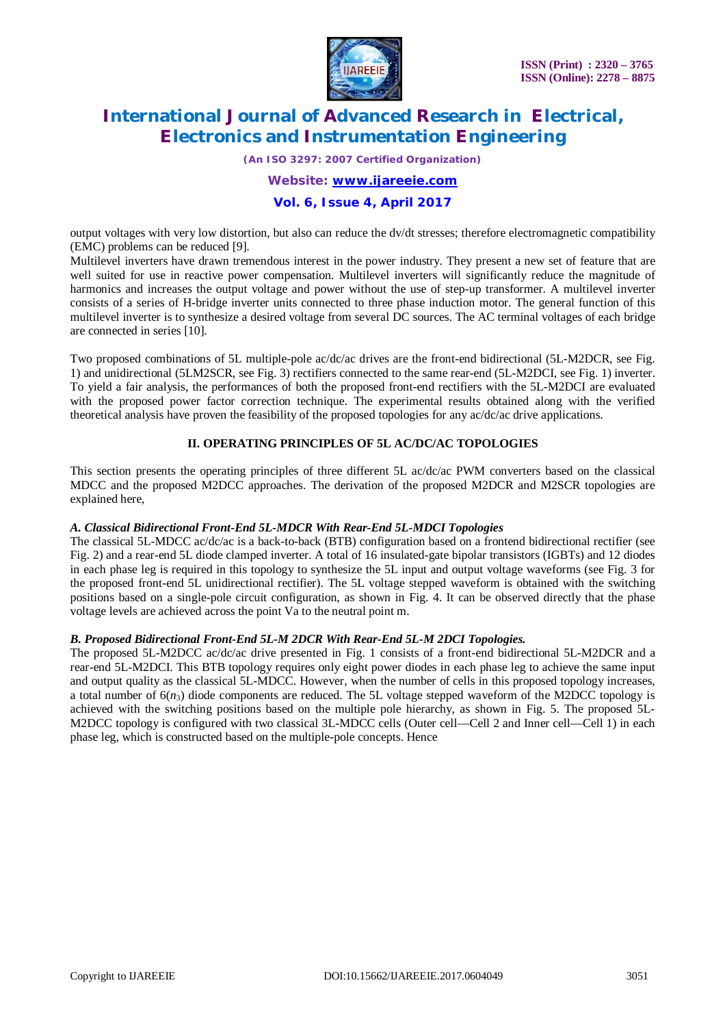

*(An ISO 3297: 2007 Certified Organization)*

*Website: [www.ijareeie.com](http://www.ijareeie.com)*

### **Vol. 6, Issue 4, April 2017**

output voltages with very low distortion, but also can reduce the dv/dt stresses; therefore electromagnetic compatibility (EMC) problems can be reduced [9].

Multilevel inverters have drawn tremendous interest in the power industry. They present a new set of feature that are well suited for use in reactive power compensation. Multilevel inverters will significantly reduce the magnitude of harmonics and increases the output voltage and power without the use of step-up transformer. A multilevel inverter consists of a series of H-bridge inverter units connected to three phase induction motor. The general function of this multilevel inverter is to synthesize a desired voltage from several DC sources. The AC terminal voltages of each bridge are connected in series [10].

Two proposed combinations of 5L multiple-pole ac/dc/ac drives are the front-end bidirectional (5L-M2DCR, see Fig. 1) and unidirectional (5LM2SCR, see Fig. 3) rectifiers connected to the same rear-end (5L-M2DCI, see Fig. 1) inverter. To yield a fair analysis, the performances of both the proposed front-end rectifiers with the 5L-M2DCI are evaluated with the proposed power factor correction technique. The experimental results obtained along with the verified theoretical analysis have proven the feasibility of the proposed topologies for any ac/dc/ac drive applications.

### **II. OPERATING PRINCIPLES OF 5L AC/DC/AC TOPOLOGIES**

This section presents the operating principles of three different 5L ac/dc/ac PWM converters based on the classical MDCC and the proposed M2DCC approaches. The derivation of the proposed M2DCR and M2SCR topologies are explained here,

### *A. Classical Bidirectional Front-End 5L-MDCR With Rear-End 5L-MDCI Topologies*

The classical 5L-MDCC ac/dc/ac is a back-to-back (BTB) configuration based on a frontend bidirectional rectifier (see Fig. 2) and a rear-end 5L diode clamped inverter. A total of 16 insulated-gate bipolar transistors (IGBTs) and 12 diodes in each phase leg is required in this topology to synthesize the 5L input and output voltage waveforms (see Fig. 3 for the proposed front-end 5L unidirectional rectifier). The 5L voltage stepped waveform is obtained with the switching positions based on a single-pole circuit configuration, as shown in Fig. 4. It can be observed directly that the phase voltage levels are achieved across the point Va to the neutral point m.

### *B. Proposed Bidirectional Front-End 5L-M 2DCR With Rear-End 5L-M 2DCI Topologies.*

The proposed 5L-M2DCC ac/dc/ac drive presented in Fig. 1 consists of a front-end bidirectional 5L-M2DCR and a rear-end 5L-M2DCI. This BTB topology requires only eight power diodes in each phase leg to achieve the same input and output quality as the classical 5L-MDCC. However, when the number of cells in this proposed topology increases, a total number of  $6(n_3)$  diode components are reduced. The 5L voltage stepped waveform of the M2DCC topology is achieved with the switching positions based on the multiple pole hierarchy, as shown in Fig. 5. The proposed 5L-M2DCC topology is configured with two classical 3L-MDCC cells (Outer cell—Cell 2 and Inner cell—Cell 1) in each phase leg, which is constructed based on the multiple-pole concepts. Hence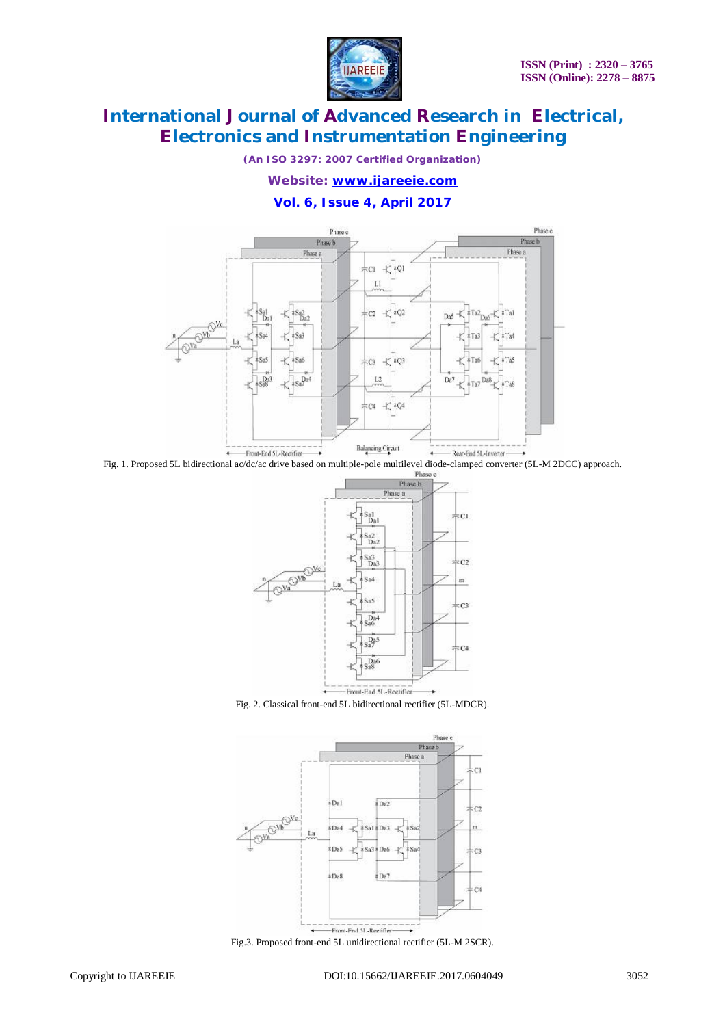

*(An ISO 3297: 2007 Certified Organization)*

*Website: [www.ijareeie.com](http://www.ijareeie.com)*

### **Vol. 6, Issue 4, April 2017**



Fig. 1. Proposed 5L bidirectional ac/dc/ac drive based on multiple-pole multilevel diode-clamped converter (5L-M 2DCC) approach.



Fig. 2. Classical front-end 5L bidirectional rectifier (5L-MDCR).



Fig.3. Proposed front-end 5L unidirectional rectifier (5L-M 2SCR).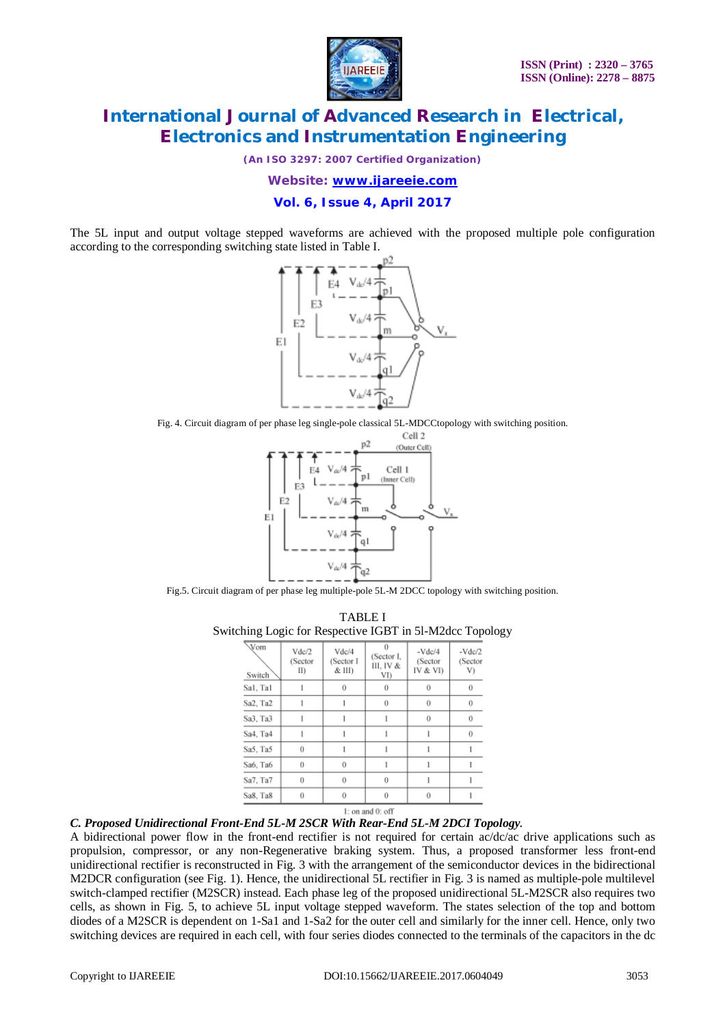

*(An ISO 3297: 2007 Certified Organization)*

*Website: [www.ijareeie.com](http://www.ijareeie.com)*

**Vol. 6, Issue 4, April 2017**

The 5L input and output voltage stepped waveforms are achieved with the proposed multiple pole configuration according to the corresponding switching state listed in Table I.



Fig. 4. Circuit diagram of per phase leg single-pole classical 5L-MDCCtopology with switching position.



Fig.5. Circuit diagram of per phase leg multiple-pole 5L-M 2DCC topology with switching position.

TABLE I Switching Logic for Respective IGBT in 5l-M2dcc Topology

| Vom<br>Switch | Vdc/2<br>(Sector<br>II) | Vdc/4<br>(Sector I<br>& III) | $\theta$<br>(Sector I.<br>III. IV &<br>VI) | $-Vdc/4$<br>(Sector<br>IV & VI) | $-Vdc/2$<br>(Sector<br>V)<br>$\theta$ |  |
|---------------|-------------------------|------------------------------|--------------------------------------------|---------------------------------|---------------------------------------|--|
| Sal, Tal      | 1                       | $\theta$                     | $\theta$                                   | $\theta$                        |                                       |  |
| Sa2, Ta2      |                         |                              | 0                                          | $\theta$                        | 0                                     |  |
| Sa3. Ta3      | 1                       |                              | 1                                          | $\theta$                        | $\theta$<br>$\theta$                  |  |
| Sa4, Ta4      | 1                       |                              | 1                                          |                                 |                                       |  |
| Sa5, Ta5      | $\theta$                |                              |                                            |                                 |                                       |  |
| Sa6, Ta6      | $\overline{0}$          | 0                            |                                            |                                 |                                       |  |
| Sa7, Ta7      | $\overline{0}$          | $^{(1)}$                     | 0                                          |                                 |                                       |  |
| Sa8, Ta8      | $\theta$                | $\theta$                     | 0                                          | 0                               |                                       |  |

#### *C. Proposed Unidirectional Front-End 5L-M 2SCR With Rear-End 5L-M 2DCI Topology.*

A bidirectional power flow in the front-end rectifier is not required for certain ac/dc/ac drive applications such as propulsion, compressor, or any non-Regenerative braking system. Thus, a proposed transformer less front-end unidirectional rectifier is reconstructed in Fig. 3 with the arrangement of the semiconductor devices in the bidirectional M2DCR configuration (see Fig. 1). Hence, the unidirectional 5L rectifier in Fig. 3 is named as multiple-pole multilevel switch-clamped rectifier (M2SCR) instead. Each phase leg of the proposed unidirectional 5L-M2SCR also requires two cells, as shown in Fig. 5, to achieve 5L input voltage stepped waveform. The states selection of the top and bottom diodes of a M2SCR is dependent on 1-Sa1 and 1-Sa2 for the outer cell and similarly for the inner cell. Hence, only two switching devices are required in each cell, with four series diodes connected to the terminals of the capacitors in the dc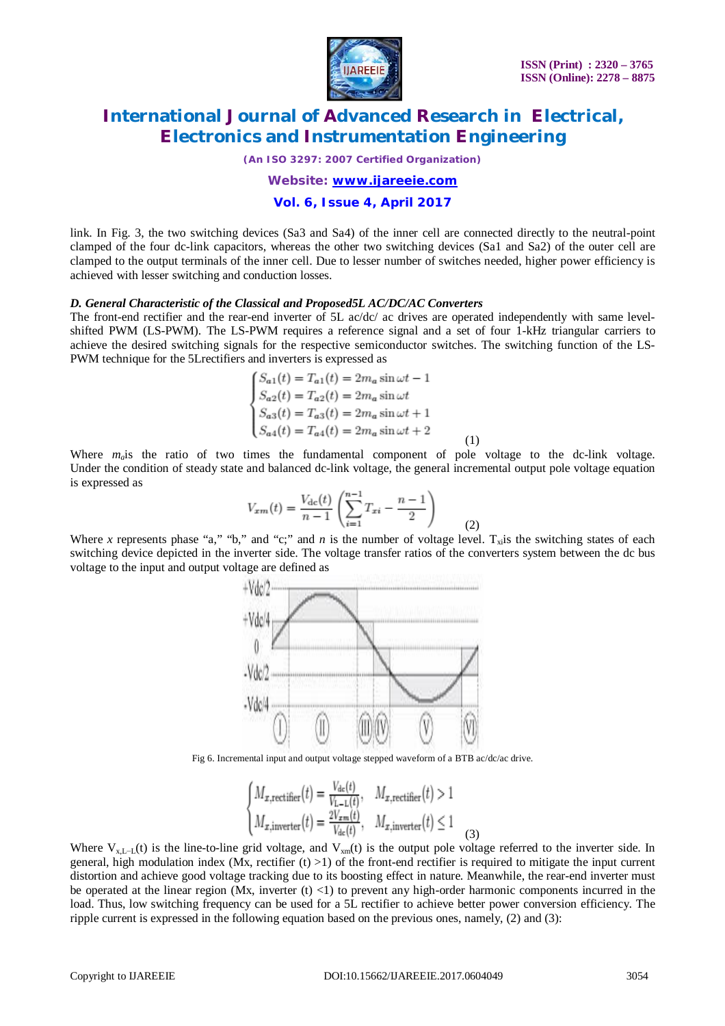

*(An ISO 3297: 2007 Certified Organization)*

*Website: [www.ijareeie.com](http://www.ijareeie.com)*

### **Vol. 6, Issue 4, April 2017**

link. In Fig. 3, the two switching devices (Sa3 and Sa4) of the inner cell are connected directly to the neutral-point clamped of the four dc-link capacitors, whereas the other two switching devices (Sa1 and Sa2) of the outer cell are clamped to the output terminals of the inner cell. Due to lesser number of switches needed, higher power efficiency is achieved with lesser switching and conduction losses.

#### *D. General Characteristic of the Classical and Proposed5L AC/DC/AC Converters*

The front-end rectifier and the rear-end inverter of 5L ac/dc/ ac drives are operated independently with same levelshifted PWM (LS-PWM). The LS-PWM requires a reference signal and a set of four 1-kHz triangular carriers to achieve the desired switching signals for the respective semiconductor switches. The switching function of the LS-PWM technique for the 5Lrectifiers and inverters is expressed as

$$
\begin{cases}\nS_{a1}(t) = T_{a1}(t) = 2m_a \sin \omega t - 1 \\
S_{a2}(t) = T_{a2}(t) = 2m_a \sin \omega t \\
S_{a3}(t) = T_{a3}(t) = 2m_a \sin \omega t + 1 \\
S_{a4}(t) = T_{a4}(t) = 2m_a \sin \omega t + 2\n\end{cases}
$$
\n(1)

Where  $m_a$  is the ratio of two times the fundamental component of pole voltage to the dc-link voltage. Under the condition of steady state and balanced dc-link voltage, the general incremental output pole voltage equation is expressed as

$$
V_{xm}(t) = \frac{V_{\rm dc}(t)}{n-1} \left( \sum_{i=1}^{n-1} T_{xi} - \frac{n-1}{2} \right)
$$
 (2)

Where *x* represents phase "a," "b," and "c;" and *n* is the number of voltage level.  $T_{x}$  is the switching states of each switching device depicted in the inverter side. The voltage transfer ratios of the converters system between the dc bus voltage to the input and output voltage are defined as



Fig 6. Incremental input and output voltage stepped waveform of a BTB ac/dc/ac drive.

$$
\begin{cases}\nM_{x,\text{rectifier}}(t) = \frac{V_{\text{dc}}(t)}{V_{\text{L}-\text{L}}(t)}, & M_{x,\text{rectifier}}(t) > 1 \\
M_{x,\text{inverter}}(t) = \frac{2V_{xm}(t)}{V_{\text{dc}}(t)}, & M_{x,\text{inverter}}(t) \le 1\n\end{cases}
$$
\n(3)

Where  $V_{x,L-1}(t)$  is the line-to-line grid voltage, and  $V_{x}$  is the output pole voltage referred to the inverter side. In general, high modulation index (Mx, rectifier  $(t) > 1$ ) of the front-end rectifier is required to mitigate the input current distortion and achieve good voltage tracking due to its boosting effect in nature. Meanwhile, the rear-end inverter must be operated at the linear region (Mx, inverter  $(t)$  <1) to prevent any high-order harmonic components incurred in the load. Thus, low switching frequency can be used for a 5L rectifier to achieve better power conversion efficiency. The ripple current is expressed in the following equation based on the previous ones, namely, (2) and (3):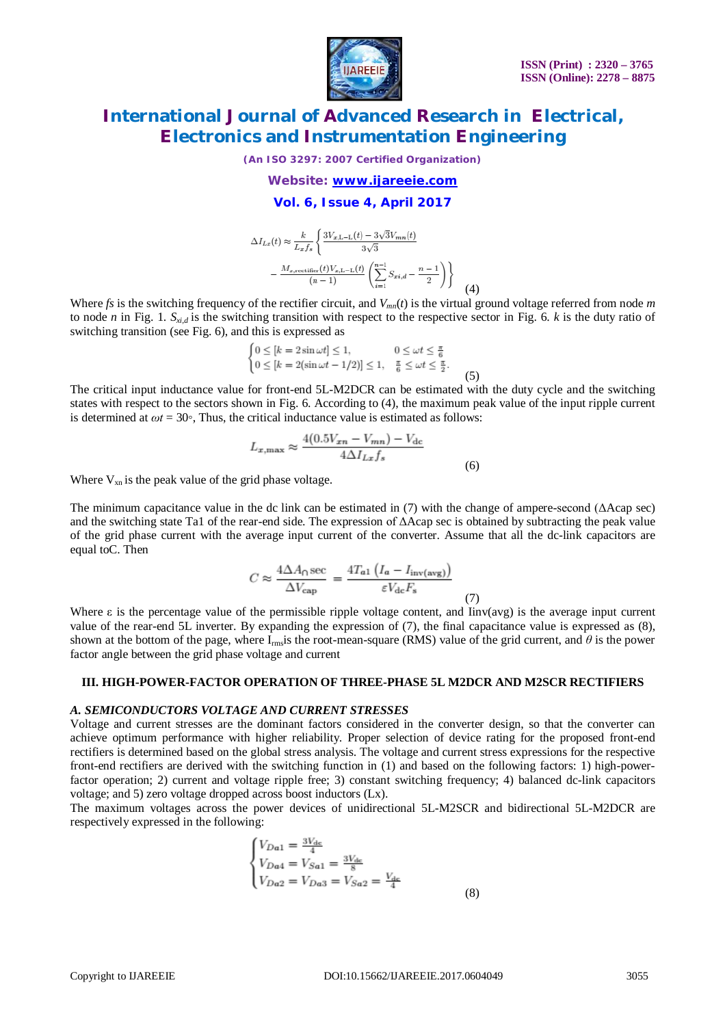

*(An ISO 3297: 2007 Certified Organization)*

*Website: [www.ijareeie.com](http://www.ijareeie.com)*

#### **Vol. 6, Issue 4, April 2017**

$$
\Delta I_{Lx}(t) \approx \frac{k}{L_x f_s} \left\{ \frac{3V_{x,\text{L}-\text{L}}(t) - 3\sqrt{3}V_{mn}(t)}{3\sqrt{3}} - \frac{M_{x,\text{rectifier}}(t)V_{x,\text{L}-\text{L}}(t)}{(n-1)} \left( \sum_{i=1}^{n-1} S_{xi,d} - \frac{n-1}{2} \right) \right\}
$$
(4)

Where *fs* is the switching frequency of the rectifier circuit, and  $V_{mn}(t)$  is the virtual ground voltage referred from node *m* to node *n* in Fig. 1.  $S_{y,d}$  is the switching transition with respect to the respective sector in Fig. 6. *k* is the duty ratio of switching transition (see Fig. 6), and this is expressed as

$$
\begin{cases} 0 \le [k = 2\sin \omega t] \le 1, & 0 \le \omega t \le \frac{\pi}{6} \\ 0 \le [k = 2(\sin \omega t - 1/2)] \le 1, & \frac{\pi}{6} \le \omega t \le \frac{\pi}{2}. \end{cases}
$$
(5)

The critical input inductance value for front-end 5L-M2DCR can be estimated with the duty cycle and the switching states with respect to the sectors shown in Fig. 6. According to (4), the maximum peak value of the input ripple current is determined at  $\omega t = 30$ °, Thus, the critical inductance value is estimated as follows:

$$
L_{x,\text{max}} \approx \frac{4(0.5V_{xn} - V_{mn}) - V_{dc}}{4\Delta I_{Lx}f_s}
$$
\n(6)

Where  $V_{xn}$  is the peak value of the grid phase voltage.

The minimum capacitance value in the dc link can be estimated in (7) with the change of ampere-second (ΔAcap sec) and the switching state Ta1 of the rear-end side. The expression of ΔAcap sec is obtained by subtracting the peak value of the grid phase current with the average input current of the converter. Assume that all the dc-link capacitors are equal toC. Then

$$
C \approx \frac{4\Delta A_0 \sec}{\Delta V_{\rm cap}} = \frac{4T_{a1} \left( I_a - I_{\rm inv(avg)} \right)}{\varepsilon V_{\rm dc} F_{\rm s}} \tag{7}
$$

Where  $\varepsilon$  is the percentage value of the permissible ripple voltage content, and Iinv(avg) is the average input current value of the rear-end 5L inverter. By expanding the expression of (7), the final capacitance value is expressed as (8), shown at the bottom of the page, where  $I_{rms}$  is the root-mean-square (RMS) value of the grid current, and  $\theta$  is the power factor angle between the grid phase voltage and current

#### **III. HIGH-POWER-FACTOR OPERATION OF THREE-PHASE 5L M2DCR AND M2SCR RECTIFIERS**

#### *A. SEMICONDUCTORS VOLTAGE AND CURRENT STRESSES*

Voltage and current stresses are the dominant factors considered in the converter design, so that the converter can achieve optimum performance with higher reliability. Proper selection of device rating for the proposed front-end rectifiers is determined based on the global stress analysis. The voltage and current stress expressions for the respective front-end rectifiers are derived with the switching function in (1) and based on the following factors: 1) high-powerfactor operation; 2) current and voltage ripple free; 3) constant switching frequency; 4) balanced dc-link capacitors voltage; and 5) zero voltage dropped across boost inductors (Lx).

The maximum voltages across the power devices of unidirectional 5L-M2SCR and bidirectional 5L-M2DCR are respectively expressed in the following:

$$
\begin{cases}\nV_{Da1} = \frac{3V_{dc}}{4} \\
V_{Da4} = V_{Sa1} = \frac{3V_{dc}}{8} \\
V_{Da2} = V_{Da3} = V_{Sa2} = \frac{V_{dc}}{4}\n\end{cases}
$$
\n(8)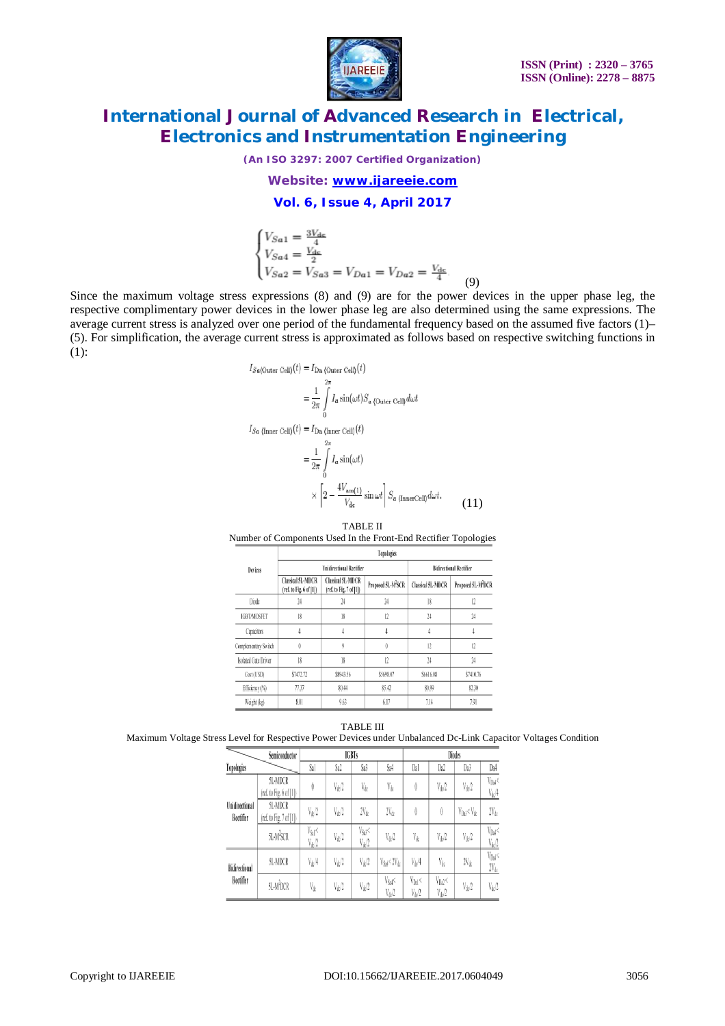

*(An ISO 3297: 2007 Certified Organization)*

*Website: [www.ijareeie.com](http://www.ijareeie.com)*

**Vol. 6, Issue 4, April 2017**

$$
\begin{cases}\nV_{Sa1} = \frac{3V_{de}}{4} \\
V_{Sa4} = \frac{V_{de}}{2} \\
V_{Sa2} = V_{Sa3} = V_{Da1} = V_{Da2} = \frac{V_{de}}{4}.\n\end{cases} (9)
$$

Since the maximum voltage stress expressions (8) and (9) are for the power devices in the upper phase leg, the respective complimentary power devices in the lower phase leg are also determined using the same expressions. The average current stress is analyzed over one period of the fundamental frequency based on the assumed five factors (1)– (5). For simplification, the average current stress is approximated as follows based on respective switching functions in (1):

$$
I_{Sa(\text{Outer Cell})}(t) = I_{\text{Da\ (Outer Cell)}}(t)
$$
  
\n
$$
= \frac{1}{2\pi} \int_{0}^{2\pi} I_a \sin(\omega t) S_a \text{ (Outer Cell)} \, d\omega t
$$
  
\n
$$
I_{Sa \text{ (Inner Cell)}}(t) = I_{\text{Da\ (Inner Cell)}}(t)
$$
  
\n
$$
= \frac{1}{2\pi} \int_{0}^{2\pi} I_a \sin(\omega t)
$$
  
\n
$$
\times \left[2 - \frac{4V_{\text{am}(1)}}{V_{\text{dc}}} \sin \omega t\right] S_a \text{ (InnerCell)} \, d\omega t.
$$
 (11)

TABLE II Number of Components Used In the Front-End Rectifier Topologies

| <b>Devices</b>       | Topologies                                          |                                                     |                                |                          |                                |  |  |  |
|----------------------|-----------------------------------------------------|-----------------------------------------------------|--------------------------------|--------------------------|--------------------------------|--|--|--|
|                      |                                                     | <b>Unidirectional Rectifier</b>                     | <b>Bidirectional Rectifier</b> |                          |                                |  |  |  |
|                      | <b>Classical 5L-MDCR</b><br>(ref. to Fig. 6 of [1]) | <b>Classical 5L-MDCR</b><br>(ref. to Fig. 7 of [1]) | Proposed 5L-M <sup>2</sup> SCR | <b>Classical 5L-MDCR</b> | Proposed 5L-M <sup>2</sup> DCR |  |  |  |
| Diode                | 24                                                  |                                                     | 24                             | 18                       | 12                             |  |  |  |
| <b>IGBT/MOSFET</b>   | 18                                                  | 18                                                  | 12                             | 24                       | 24                             |  |  |  |
| Capacitors           |                                                     |                                                     |                                |                          |                                |  |  |  |
| Complementary Switch | $\theta$                                            | ŷ                                                   | $\theta$                       | 12                       | 12                             |  |  |  |
| Isolated Gate Driver | 18                                                  | 18                                                  | 12                             | 24                       | 24                             |  |  |  |
| Cost (USD)           | \$7472.72                                           | \$8943.56                                           | \$5698.07                      | \$6616.08                | \$7410.76                      |  |  |  |
| Efficiency (%)       | 77.37                                               | 80.44                                               | 85.42                          | 80.99                    | 82.30                          |  |  |  |
| Weight (kg)          | 8.01                                                | 9.63                                                | 6.17                           | 7.14                     | 7.91                           |  |  |  |

TABLE III

Maximum Voltage Stress Level for Respective Power Devices under Unbalanced Dc-Link Capacitor Voltages Condition

| Semiconductor               |                                    | <b>IGBTs</b>            |                |                                      | Diodes                     |                                  |                                 |                     |                                       |
|-----------------------------|------------------------------------|-------------------------|----------------|--------------------------------------|----------------------------|----------------------------------|---------------------------------|---------------------|---------------------------------------|
| Topologies                  |                                    | Sal                     | Sa2            | Sa3                                  | Sa4                        | Dal                              | Da2                             | Da3                 | Da4                                   |
| Unidirectional<br>Rectifier | 5L-MDCR<br>(ref. to Fig. 6 of [1]) | 0                       | Vd/2           | $\rm V_{dc}$                         | $\mathbf{V}_{dc}$          | $\langle \rangle$                | $V_{dc}/2$                      | $V_{dc}$ 2          | $V_{\text{DM}}$<br>V <sub>do</sub> 4  |
|                             | 5L-MDCR<br>(ref. to Fig. 7 of [1]) | $V_{dc}/2$              | $V_{\rm de}/2$ | $2V_{dc}$                            | $2V_{dc}$                  | 0                                | 0                               | $V_{Dd}$ < $V_{dc}$ | $2V_{dc}$                             |
|                             | 5L-M <sup>2</sup> SCR              | $V_{S1}<$<br>$V_{dc}/2$ | $V_{dc}/2$     | V <sub>Sa3</sub> <<br>$V_{\rm de}/2$ | $V_{dc}/2$                 | $\mathbf{V}_{dc}$                | $V_{dc}/2$                      | $V_{dc}/2$          | $V_{\text{Dn4}}$<br>V <sub>de</sub> 2 |
| Bidirectional<br>Rectifier  | 5L-MDCR                            | $V_{dc}/4$              | Vdi/2          | $V_{\rm de}/2$                       | $V_{S_24}$ < $2V_{dc}$     | $V_{dc}/4$                       | V <sub>di</sub>                 | $2V_{dc}$           | $V_{\text{Dsh}}$<br>$2V_{dc}$         |
|                             | <b>SL-M<sup>2</sup>DCR</b>         | $\mathbf{V}_{\phi_i}$   | $V_{dc}/2$     | $V_{\rm d} / 2$                      | $V_{S_04}<$<br>$V_{dc}$ /2 | V <sub>Dal</sub> <<br>$V_{dc}/2$ | V <sub>Dd</sub> <<br>$V_{dc}/2$ | $V_{dc}$ /2         | V <sub>do</sub> 2                     |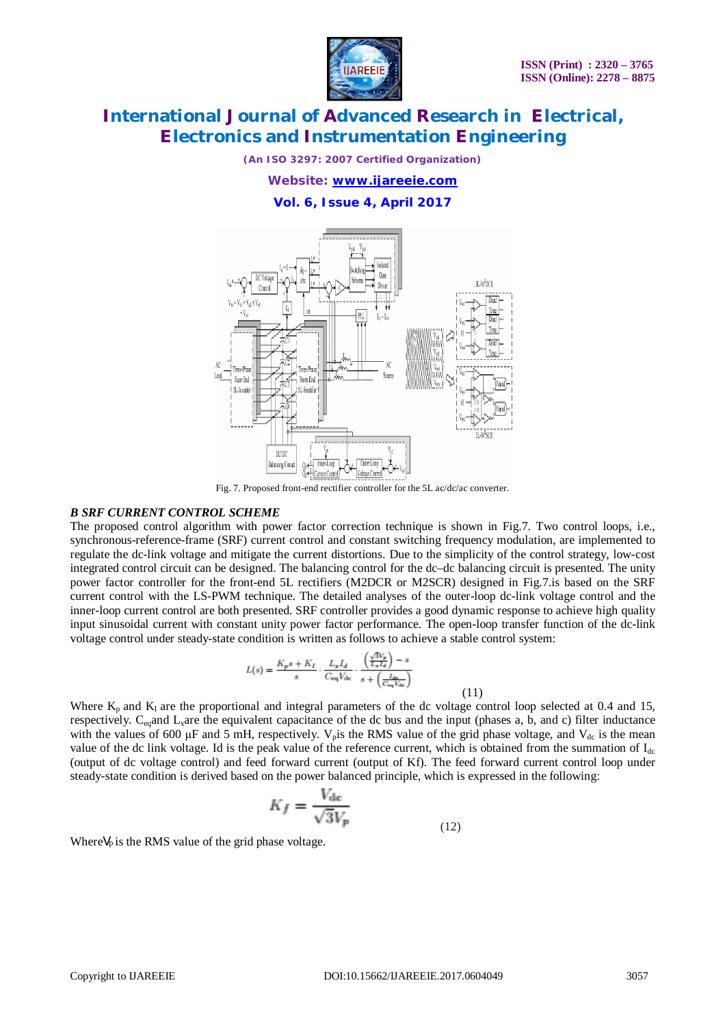

*(An ISO 3297: 2007 Certified Organization)*

*Website: [www.ijareeie.com](http://www.ijareeie.com)*

**Vol. 6, Issue 4, April 2017**



Fig. 7. Proposed front-end rectifier controller for the 5L ac/dc/ac converter.

### *B SRF CURRENT CONTROL SCHEME*

The proposed control algorithm with power factor correction technique is shown in Fig.7. Two control loops, i.e., synchronous-reference-frame (SRF) current control and constant switching frequency modulation, are implemented to regulate the dc-link voltage and mitigate the current distortions. Due to the simplicity of the control strategy, low-cost integrated control circuit can be designed. The balancing control for the dc–dc balancing circuit is presented. The unity power factor controller for the front-end 5L rectifiers (M2DCR or M2SCR) designed in Fig.7.is based on the SRF current control with the LS-PWM technique. The detailed analyses of the outer-loop dc-link voltage control and the inner-loop current control are both presented. SRF controller provides a good dynamic response to achieve high quality input sinusoidal current with constant unity power factor performance. The open-loop transfer function of the dc-link voltage control under steady-state condition is written as follows to achieve a stable control system:

$$
L(s) = \frac{K_ps + K_I}{s} \cdot \frac{L_xI_d}{C_{eq}V_{dc}} \cdot \frac{\left(\frac{\sqrt{3}V_p}{L_xI_d}\right) - s}{s + \left(\frac{L_{bc}}{C_{eq}V_{dc}}\right)}
$$

Where  $K_p$  and  $K_I$  are the proportional and integral parameters of the dc voltage control loop selected at 0.4 and 15, respectively.  $C_{eq}$  and  $L_x$  are the equivalent capacitance of the dc bus and the input (phases a, b, and c) filter inductance with the values of 600  $\mu$ F and 5 mH, respectively. V<sub>p</sub> is the RMS value of the grid phase voltage, and V<sub>dc</sub> is the mean value of the dc link voltage. Id is the peak value of the reference current, which is obtained from the summation of  $I_{dc}$ (output of dc voltage control) and feed forward current (output of Kf). The feed forward current control loop under steady-state condition is derived based on the power balanced principle, which is expressed in the following:

$$
K_f = \frac{V_{\rm dc}}{\sqrt{3V_p}}
$$
 (12)

Where $V_p$  is the RMS value of the grid phase voltage.

(11)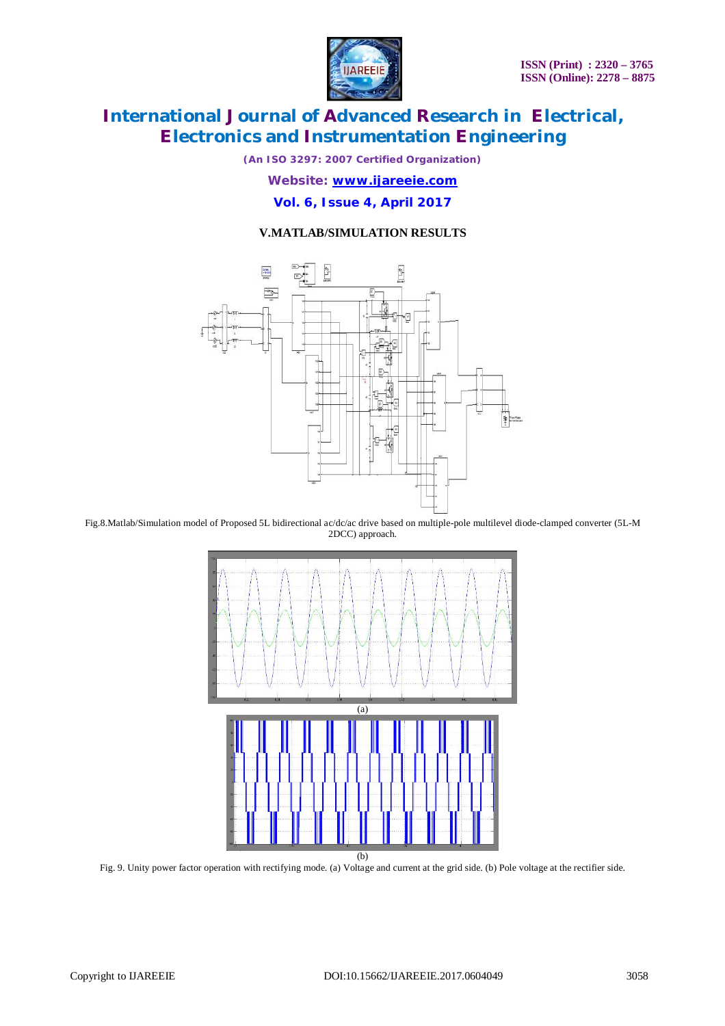

*(An ISO 3297: 2007 Certified Organization)*

*Website: [www.ijareeie.com](http://www.ijareeie.com)*

**Vol. 6, Issue 4, April 2017**

### **V.MATLAB/SIMULATION RESULTS**



Fig.8.Matlab/Simulation model of Proposed 5L bidirectional ac/dc/ac drive based on multiple-pole multilevel diode-clamped converter (5L-M 2DCC) approach.



Fig. 9. Unity power factor operation with rectifying mode. (a) Voltage and current at the grid side. (b) Pole voltage at the rectifier side.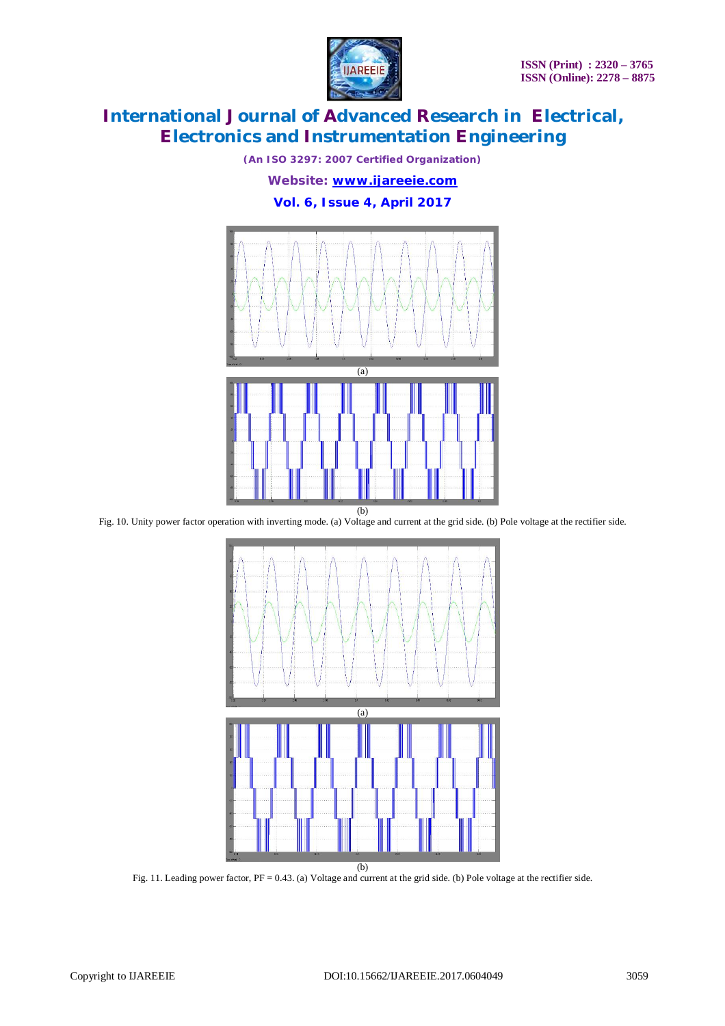

*(An ISO 3297: 2007 Certified Organization)*

*Website: [www.ijareeie.com](http://www.ijareeie.com)*

### **Vol. 6, Issue 4, April 2017**



Fig. 10. Unity power factor operation with inverting mode. (a) Voltage and current at the grid side. (b) Pole voltage at the rectifier side.



Fig. 11. Leading power factor, PF = 0.43. (a) Voltage and current at the grid side. (b) Pole voltage at the rectifier side.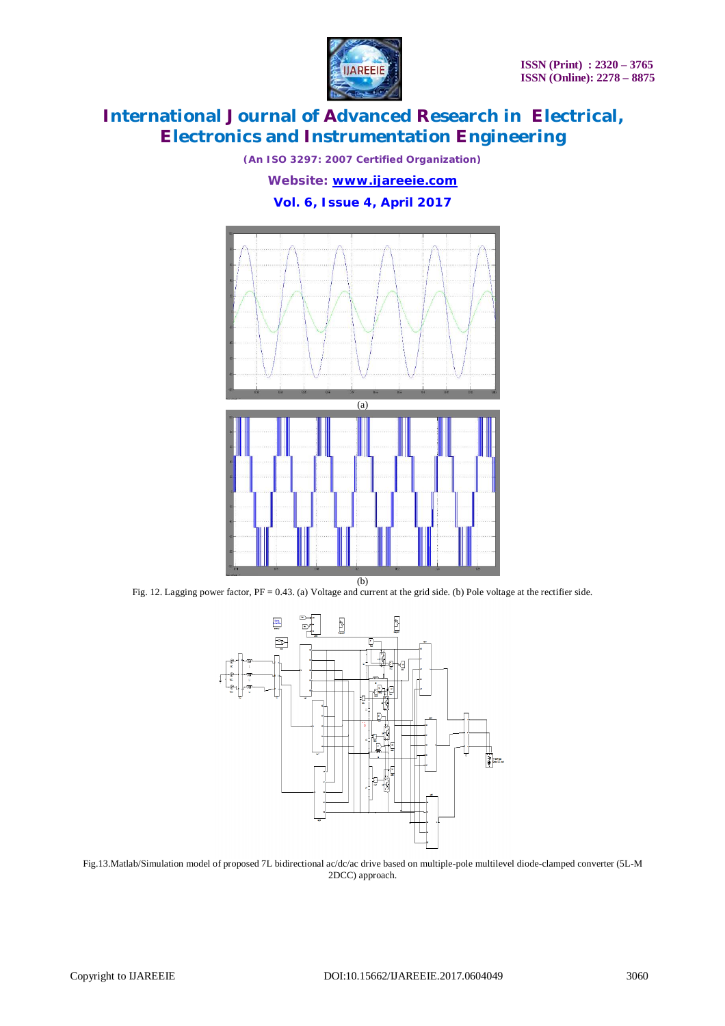

*(An ISO 3297: 2007 Certified Organization)*

*Website: [www.ijareeie.com](http://www.ijareeie.com)*

### **Vol. 6, Issue 4, April 2017**



Fig. 12. Lagging power factor, PF = 0.43. (a) Voltage and current at the grid side. (b) Pole voltage at the rectifier side.



Fig.13.Matlab/Simulation model of proposed 7L bidirectional ac/dc/ac drive based on multiple-pole multilevel diode-clamped converter (5L-M 2DCC) approach.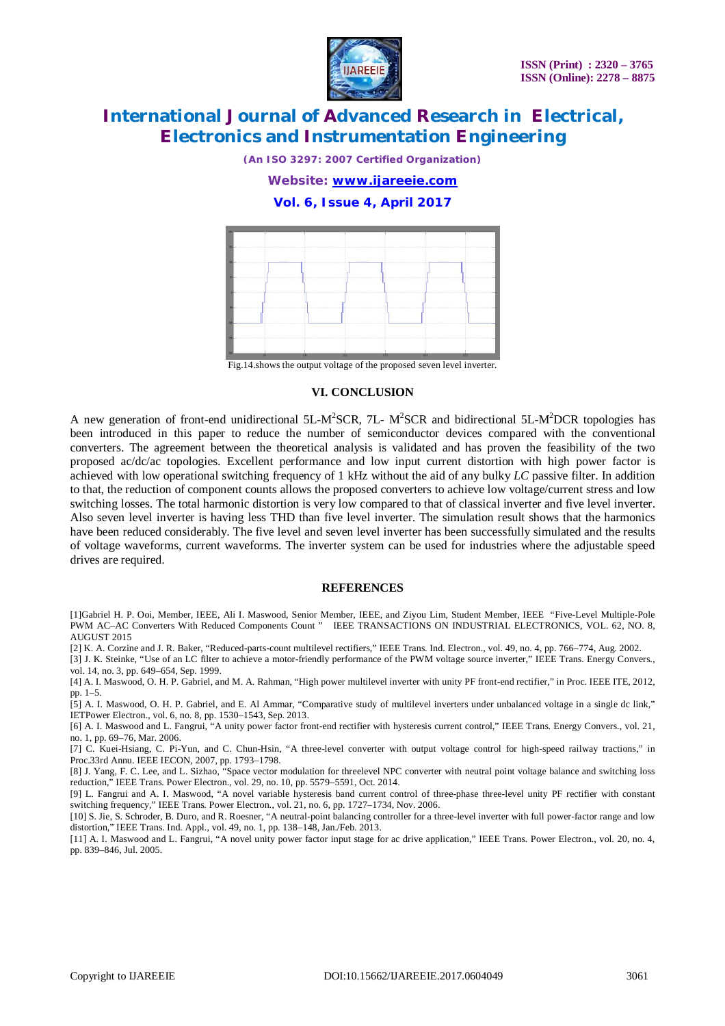

*(An ISO 3297: 2007 Certified Organization)*

*Website: [www.ijareeie.com](http://www.ijareeie.com)*

**Vol. 6, Issue 4, April 2017**



Fig.14.shows the output voltage of the proposed seven level inverter.

#### **VI. CONCLUSION**

A new generation of front-end unidirectional 5L-M<sup>2</sup>SCR, 7L- M<sup>2</sup>SCR and bidirectional 5L-M<sup>2</sup>DCR topologies has been introduced in this paper to reduce the number of semiconductor devices compared with the conventional converters. The agreement between the theoretical analysis is validated and has proven the feasibility of the two proposed ac/dc/ac topologies. Excellent performance and low input current distortion with high power factor is achieved with low operational switching frequency of 1 kHz without the aid of any bulky *LC* passive filter. In addition to that, the reduction of component counts allows the proposed converters to achieve low voltage/current stress and low switching losses. The total harmonic distortion is very low compared to that of classical inverter and five level inverter. Also seven level inverter is having less THD than five level inverter. The simulation result shows that the harmonics have been reduced considerably. The five level and seven level inverter has been successfully simulated and the results of voltage waveforms, current waveforms. The inverter system can be used for industries where the adjustable speed drives are required.

#### **REFERENCES**

[1]Gabriel H. P. Ooi, Member, IEEE, Ali I. Maswood, Senior Member, IEEE, and Ziyou Lim, Student Member, IEEE "Five-Level Multiple-Pole PWM AC–AC Converters With Reduced Components Count " IEEE TRANSACTIONS ON INDUSTRIAL ELECTRONICS, VOL. 62, NO. 8, AUGUST 2015

[2] K. A. Corzine and J. R. Baker, "Reduced-parts-count multilevel rectifiers," IEEE Trans. Ind. Electron., vol. 49, no. 4, pp. 766–774, Aug. 2002.

[3] J. K. Steinke, "Use of an LC filter to achieve a motor-friendly performance of the PWM voltage source inverter," IEEE Trans. Energy Convers., vol. 14, no. 3, pp. 649–654, Sep. 1999.

[4] A. I. Maswood, O. H. P. Gabriel, and M. A. Rahman, "High power multilevel inverter with unity PF front-end rectifier," in Proc. IEEE ITE, 2012, pp. 1–5.

[5] A. I. Maswood, O. H. P. Gabriel, and E. Al Ammar, "Comparative study of multilevel inverters under unbalanced voltage in a single dc link," IETPower Electron., vol. 6, no. 8, pp. 1530–1543, Sep. 2013.

[6] A. I. Maswood and L. Fangrui, "A unity power factor front-end rectifier with hysteresis current control," IEEE Trans. Energy Convers., vol. 21, no. 1, pp. 69–76, Mar. 2006.

[7] C. Kuei-Hsiang, C. Pi-Yun, and C. Chun-Hsin, "A three-level converter with output voltage control for high-speed railway tractions," in Proc.33rd Annu. IEEE IECON, 2007, pp. 1793–1798.

[8] J. Yang, F. C. Lee, and L. Sizhao, "Space vector modulation for threelevel NPC converter with neutral point voltage balance and switching loss reduction," IEEE Trans. Power Electron., vol. 29, no. 10, pp. 5579–5591, Oct. 2014.

[9] L. Fangrui and A. I. Maswood, "A novel variable hysteresis band current control of three-phase three-level unity PF rectifier with constant switching frequency," IEEE Trans. Power Electron., vol. 21, no. 6, pp. 1727–1734, Nov. 2006.

[10] S. Jie, S. Schroder, B. Duro, and R. Roesner, "A neutral-point balancing controller for a three-level inverter with full power-factor range and low distortion," IEEE Trans. Ind. Appl., vol. 49, no. 1, pp. 138–148, Jan./Feb. 2013.

[11] A. I. Maswood and L. Fangrui, "A novel unity power factor input stage for ac drive application," IEEE Trans. Power Electron., vol. 20, no. 4, pp. 839–846, Jul. 2005.